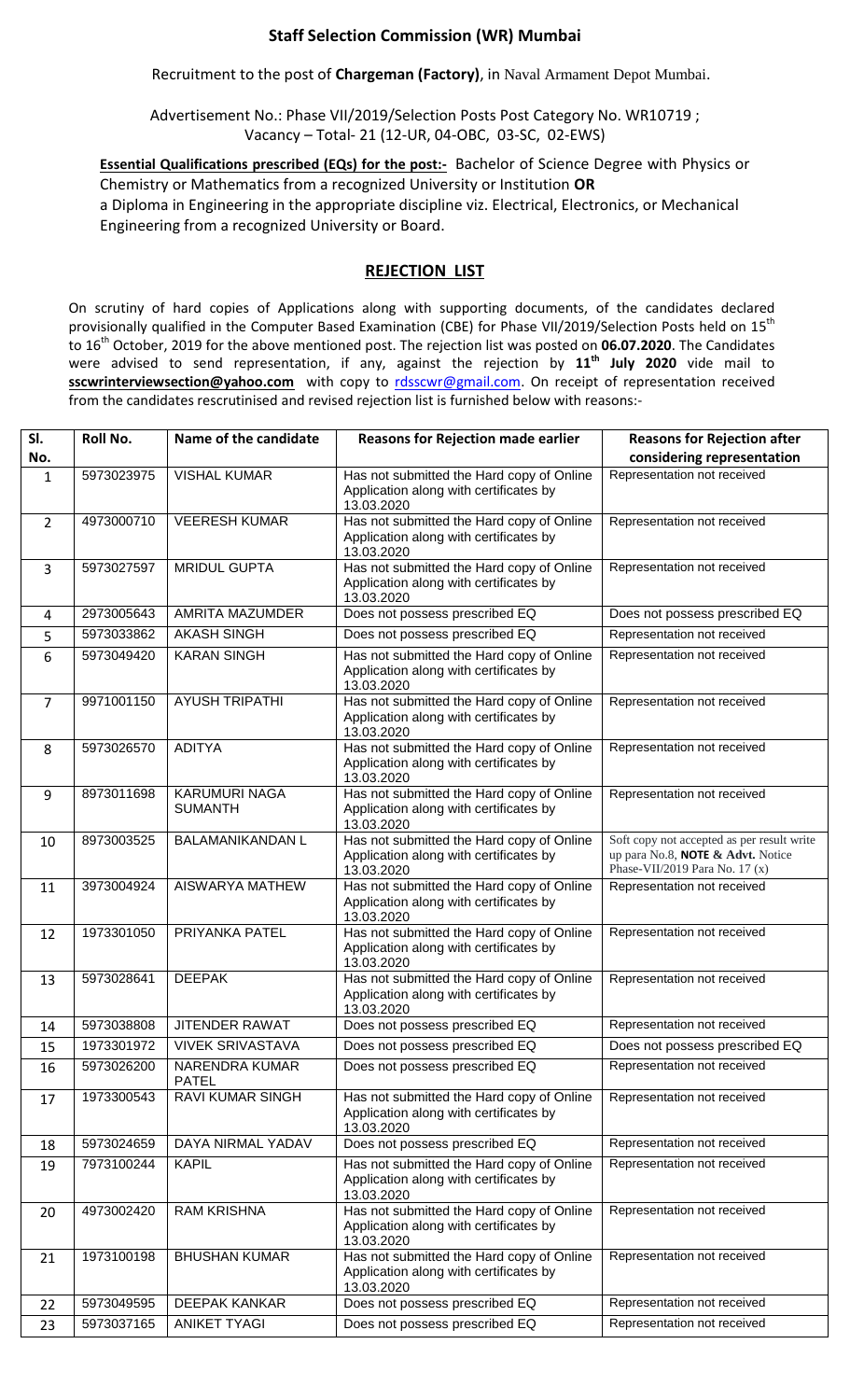## **Staff Selection Commission (WR) Mumbai**

Recruitment to the post of **Chargeman (Factory)**, in Naval Armament Depot Mumbai.

Advertisement No.: Phase VII/2019/Selection Posts Post Category No. WR10719 ; Vacancy – Total- 21 (12-UR, 04-OBC, 03-SC, 02-EWS)

**Essential Qualifications prescribed (EQs) for the post:-** Bachelor of Science Degree with Physics or Chemistry or Mathematics from a recognized University or Institution **OR**  a Diploma in Engineering in the appropriate discipline viz. Electrical, Electronics, or Mechanical Engineering from a recognized University or Board.

## **REJECTION LIST**

On scrutiny of hard copies of Applications along with supporting documents, of the candidates declared provisionally qualified in the Computer Based Examination (CBE) for Phase VII/2019/Selection Posts held on 15<sup>th</sup> to 16th October, 2019 for the above mentioned post. The rejection list was posted on **06.07.2020**. The Candidates were advised to send representation, if any, against the rejection by **11th July 2020** vide mail to **sscwrinterviewsection@yahoo.com** with copy to [rdsscwr@gmail.com.](mailto:rdsscwr@gmail.com) On receipt of representation received from the candidates rescrutinised and revised rejection list is furnished below with reasons:-

| SI.            | Roll No.   | Name of the candidate                  | <b>Reasons for Rejection made earlier</b>                                                         | <b>Reasons for Rejection after</b>                                                                                |
|----------------|------------|----------------------------------------|---------------------------------------------------------------------------------------------------|-------------------------------------------------------------------------------------------------------------------|
| No.            |            |                                        |                                                                                                   | considering representation                                                                                        |
| $\mathbf{1}$   | 5973023975 | <b>VISHAL KUMAR</b>                    | Has not submitted the Hard copy of Online<br>Application along with certificates by<br>13.03.2020 | Representation not received                                                                                       |
| $\overline{2}$ | 4973000710 | <b>VEERESH KUMAR</b>                   | Has not submitted the Hard copy of Online<br>Application along with certificates by<br>13.03.2020 | Representation not received                                                                                       |
| 3              | 5973027597 | <b>MRIDUL GUPTA</b>                    | Has not submitted the Hard copy of Online<br>Application along with certificates by<br>13.03.2020 | Representation not received                                                                                       |
| 4              | 2973005643 | <b>AMRITA MAZUMDER</b>                 | Does not possess prescribed EQ                                                                    | Does not possess prescribed EQ                                                                                    |
| 5              | 5973033862 | <b>AKASH SINGH</b>                     | Does not possess prescribed EQ                                                                    | Representation not received                                                                                       |
| 6              | 5973049420 | <b>KARAN SINGH</b>                     | Has not submitted the Hard copy of Online<br>Application along with certificates by<br>13.03.2020 | Representation not received                                                                                       |
| $\overline{7}$ | 9971001150 | <b>AYUSH TRIPATHI</b>                  | Has not submitted the Hard copy of Online<br>Application along with certificates by<br>13.03.2020 | Representation not received                                                                                       |
| 8              | 5973026570 | <b>ADITYA</b>                          | Has not submitted the Hard copy of Online<br>Application along with certificates by<br>13.03.2020 | Representation not received                                                                                       |
| 9              | 8973011698 | <b>KARUMURI NAGA</b><br><b>SUMANTH</b> | Has not submitted the Hard copy of Online<br>Application along with certificates by<br>13.03.2020 | Representation not received                                                                                       |
| 10             | 8973003525 | <b>BALAMANIKANDAN L</b>                | Has not submitted the Hard copy of Online<br>Application along with certificates by<br>13.03.2020 | Soft copy not accepted as per result write<br>up para No.8, NOTE & Advt. Notice<br>Phase-VII/2019 Para No. 17 (x) |
| 11             | 3973004924 | AISWARYA MATHEW                        | Has not submitted the Hard copy of Online<br>Application along with certificates by<br>13.03.2020 | Representation not received                                                                                       |
| 12             | 1973301050 | PRIYANKA PATEL                         | Has not submitted the Hard copy of Online<br>Application along with certificates by<br>13.03.2020 | Representation not received                                                                                       |
| 13             | 5973028641 | <b>DEEPAK</b>                          | Has not submitted the Hard copy of Online<br>Application along with certificates by<br>13.03.2020 | Representation not received                                                                                       |
| 14             | 5973038808 | <b>JITENDER RAWAT</b>                  | Does not possess prescribed EQ                                                                    | Representation not received                                                                                       |
| 15             | 1973301972 | <b>VIVEK SRIVASTAVA</b>                | Does not possess prescribed EQ                                                                    | Does not possess prescribed EQ                                                                                    |
| 16             | 5973026200 | <b>NARENDRA KUMAR</b><br><b>PATEL</b>  | Does not possess prescribed EQ                                                                    | Representation not received                                                                                       |
| 17             | 1973300543 | RAVI KUMAR SINGH                       | Has not submitted the Hard copy of Online<br>Application along with certificates by<br>13.03.2020 | Representation not received                                                                                       |
| 18             | 5973024659 | DAYA NIRMAL YADAV                      | Does not possess prescribed EQ                                                                    | Representation not received                                                                                       |
| 19             | 7973100244 | <b>KAPIL</b>                           | Has not submitted the Hard copy of Online<br>Application along with certificates by<br>13.03.2020 | Representation not received                                                                                       |
| 20             | 4973002420 | <b>RAM KRISHNA</b>                     | Has not submitted the Hard copy of Online<br>Application along with certificates by<br>13.03.2020 | Representation not received                                                                                       |
| 21             | 1973100198 | <b>BHUSHAN KUMAR</b>                   | Has not submitted the Hard copy of Online<br>Application along with certificates by<br>13.03.2020 | Representation not received                                                                                       |
| 22             | 5973049595 | <b>DEEPAK KANKAR</b>                   | Does not possess prescribed EQ                                                                    | Representation not received                                                                                       |
| 23             | 5973037165 | <b>ANIKET TYAGI</b>                    | Does not possess prescribed EQ                                                                    | Representation not received                                                                                       |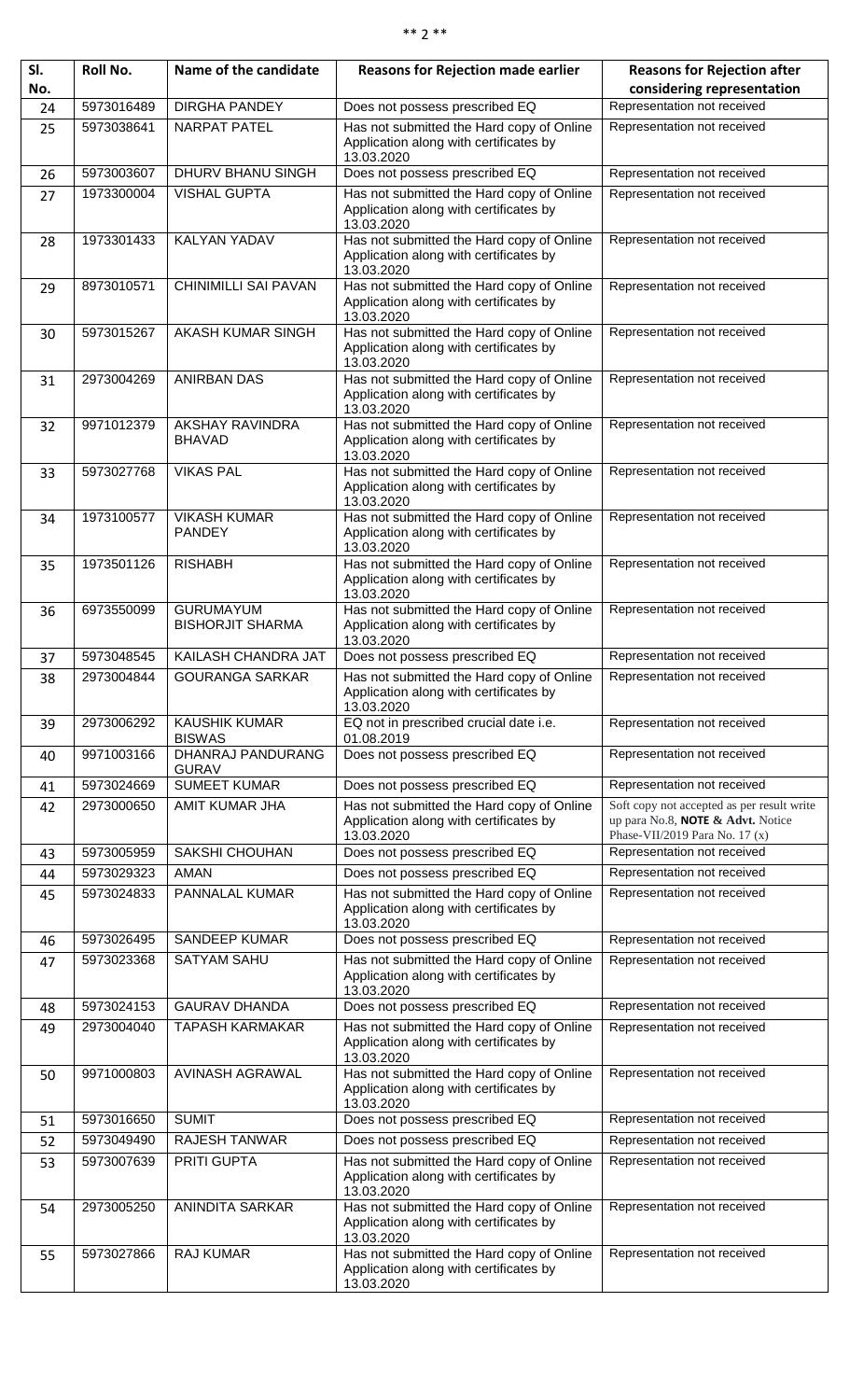## \*\* 2 \*\*

| SI. | Roll No.   | Name of the candidate                       | <b>Reasons for Rejection made earlier</b>                                                         | <b>Reasons for Rejection after</b>                                                                                |
|-----|------------|---------------------------------------------|---------------------------------------------------------------------------------------------------|-------------------------------------------------------------------------------------------------------------------|
| No. |            |                                             |                                                                                                   | considering representation                                                                                        |
| 24  | 5973016489 | <b>DIRGHA PANDEY</b>                        | Does not possess prescribed EQ                                                                    | Representation not received                                                                                       |
| 25  | 5973038641 | <b>NARPAT PATEL</b>                         | Has not submitted the Hard copy of Online                                                         | Representation not received                                                                                       |
|     |            |                                             | Application along with certificates by<br>13.03.2020                                              |                                                                                                                   |
| 26  | 5973003607 | DHURV BHANU SINGH                           | Does not possess prescribed EQ                                                                    | Representation not received                                                                                       |
| 27  | 1973300004 | <b>VISHAL GUPTA</b>                         | Has not submitted the Hard copy of Online<br>Application along with certificates by<br>13.03.2020 | Representation not received                                                                                       |
| 28  | 1973301433 | <b>KALYAN YADAV</b>                         | Has not submitted the Hard copy of Online<br>Application along with certificates by<br>13.03.2020 | Representation not received                                                                                       |
| 29  | 8973010571 | <b>CHINIMILLI SAI PAVAN</b>                 | Has not submitted the Hard copy of Online<br>Application along with certificates by<br>13.03.2020 | Representation not received                                                                                       |
| 30  | 5973015267 | AKASH KUMAR SINGH                           | Has not submitted the Hard copy of Online<br>Application along with certificates by<br>13.03.2020 | Representation not received                                                                                       |
| 31  | 2973004269 | <b>ANIRBAN DAS</b>                          | Has not submitted the Hard copy of Online<br>Application along with certificates by<br>13.03.2020 | Representation not received                                                                                       |
| 32  | 9971012379 | <b>AKSHAY RAVINDRA</b><br><b>BHAVAD</b>     | Has not submitted the Hard copy of Online<br>Application along with certificates by<br>13.03.2020 | Representation not received                                                                                       |
| 33  | 5973027768 | <b>VIKAS PAL</b>                            | Has not submitted the Hard copy of Online<br>Application along with certificates by<br>13.03.2020 | Representation not received                                                                                       |
| 34  | 1973100577 | <b>VIKASH KUMAR</b><br><b>PANDEY</b>        | Has not submitted the Hard copy of Online<br>Application along with certificates by<br>13.03.2020 | Representation not received                                                                                       |
| 35  | 1973501126 | <b>RISHABH</b>                              | Has not submitted the Hard copy of Online<br>Application along with certificates by<br>13.03.2020 | Representation not received                                                                                       |
| 36  | 6973550099 | <b>GURUMAYUM</b><br><b>BISHORJIT SHARMA</b> | Has not submitted the Hard copy of Online<br>Application along with certificates by<br>13.03.2020 | Representation not received                                                                                       |
| 37  | 5973048545 | KAILASH CHANDRA JAT                         | Does not possess prescribed EQ                                                                    | Representation not received                                                                                       |
| 38  | 2973004844 | <b>GOURANGA SARKAR</b>                      | Has not submitted the Hard copy of Online<br>Application along with certificates by<br>13.03.2020 | Representation not received                                                                                       |
| 39  | 2973006292 | <b>KAUSHIK KUMAR</b><br><b>BISWAS</b>       | EQ not in prescribed crucial date i.e.<br>01.08.2019                                              | Representation not received                                                                                       |
| 40  | 9971003166 | DHANRAJ PANDURANG<br><b>GURAV</b>           | Does not possess prescribed EQ                                                                    | Representation not received                                                                                       |
| 41  | 5973024669 | <b>SUMEET KUMAR</b>                         | Does not possess prescribed EQ                                                                    | Representation not received                                                                                       |
| 42  | 2973000650 | AMIT KUMAR JHA                              | Has not submitted the Hard copy of Online<br>Application along with certificates by<br>13.03.2020 | Soft copy not accepted as per result write<br>up para No.8, NOTE & Advt. Notice<br>Phase-VII/2019 Para No. 17 (x) |
| 43  | 5973005959 | <b>SAKSHI CHOUHAN</b>                       | Does not possess prescribed EQ                                                                    | Representation not received                                                                                       |
| 44  | 5973029323 | <b>AMAN</b>                                 | Does not possess prescribed EQ                                                                    | Representation not received                                                                                       |
| 45  | 5973024833 | PANNALAL KUMAR                              | Has not submitted the Hard copy of Online<br>Application along with certificates by<br>13.03.2020 | Representation not received                                                                                       |
| 46  | 5973026495 | <b>SANDEEP KUMAR</b>                        | Does not possess prescribed EQ                                                                    | Representation not received                                                                                       |
| 47  | 5973023368 | <b>SATYAM SAHU</b>                          | Has not submitted the Hard copy of Online<br>Application along with certificates by<br>13.03.2020 | Representation not received                                                                                       |
| 48  | 5973024153 | <b>GAURAV DHANDA</b>                        | Does not possess prescribed EQ                                                                    | Representation not received                                                                                       |
| 49  | 2973004040 | <b>TAPASH KARMAKAR</b>                      | Has not submitted the Hard copy of Online<br>Application along with certificates by<br>13.03.2020 | Representation not received                                                                                       |
| 50  | 9971000803 | <b>AVINASH AGRAWAL</b>                      | Has not submitted the Hard copy of Online<br>Application along with certificates by<br>13.03.2020 | Representation not received                                                                                       |
| 51  | 5973016650 | <b>SUMIT</b>                                | Does not possess prescribed EQ                                                                    | Representation not received                                                                                       |
| 52  | 5973049490 | <b>RAJESH TANWAR</b>                        | Does not possess prescribed EQ                                                                    | Representation not received                                                                                       |
| 53  | 5973007639 | <b>PRITI GUPTA</b>                          | Has not submitted the Hard copy of Online<br>Application along with certificates by<br>13.03.2020 | Representation not received                                                                                       |
| 54  | 2973005250 | <b>ANINDITA SARKAR</b>                      | Has not submitted the Hard copy of Online<br>Application along with certificates by<br>13.03.2020 | Representation not received                                                                                       |
| 55  | 5973027866 | <b>RAJ KUMAR</b>                            | Has not submitted the Hard copy of Online<br>Application along with certificates by<br>13.03.2020 | Representation not received                                                                                       |